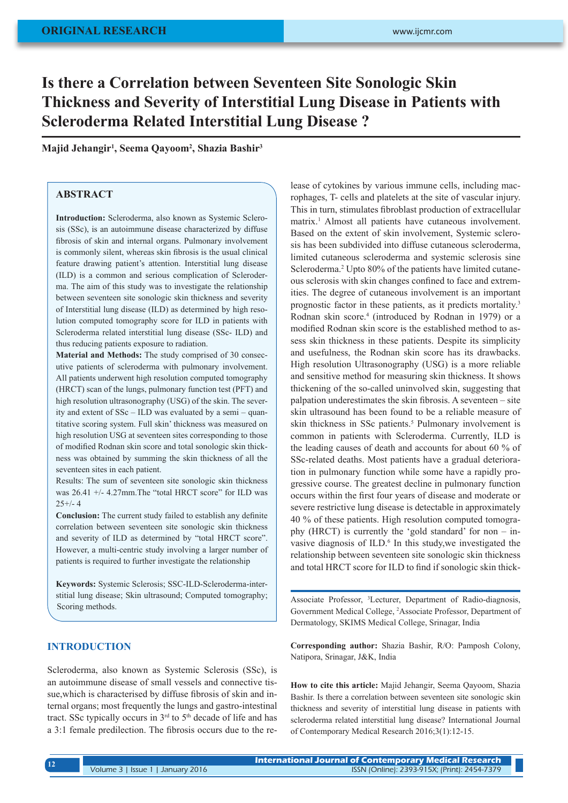# **Is there a Correlation between Seventeen Site Sonologic Skin Thickness and Severity of Interstitial Lung Disease in Patients with Scleroderma Related Interstitial Lung Disease ?**

**Majid Jehangir1 , Seema Qayoom2 , Shazia Bashir3**

# **ABSTRACT**

**Introduction:** Scleroderma, also known as Systemic Sclerosis (SSc), is an autoimmune disease characterized by diffuse fibrosis of skin and internal organs. Pulmonary involvement is commonly silent, whereas skin fibrosis is the usual clinical feature drawing patient's attention. Interstitial lung disease (ILD) is a common and serious complication of Scleroderma. The aim of this study was to investigate the relationship between seventeen site sonologic skin thickness and severity of Interstitial lung disease (ILD) as determined by high resolution computed tomography score for ILD in patients with Scleroderma related interstitial lung disease (SSc- ILD) and thus reducing patients exposure to radiation.

**Material and Methods:** The study comprised of 30 consecutive patients of scleroderma with pulmonary involvement. All patients underwent high resolution computed tomography (HRCT) scan of the lungs, pulmonary function test (PFT) and high resolution ultrasonography (USG) of the skin. The severity and extent of SSc – ILD was evaluated by a semi – quantitative scoring system. Full skin' thickness was measured on high resolution USG at seventeen sites corresponding to those of modified Rodnan skin score and total sonologic skin thickness was obtained by summing the skin thickness of all the seventeen sites in each patient.

Results: The sum of seventeen site sonologic skin thickness was 26.41 +/- 4.27mm.The "total HRCT score" for ILD was  $25+/- 4$ 

**Conclusion:** The current study failed to establish any definite correlation between seventeen site sonologic skin thickness and severity of ILD as determined by "total HRCT score". However, a multi-centric study involving a larger number of patients is required to further investigate the relationship

**Keywords:** Systemic Sclerosis; SSC-ILD-Scleroderma-interstitial lung disease; Skin ultrasound; Computed tomography; Scoring methods.

# **INTRODUCTION**

Scleroderma, also known as Systemic Sclerosis (SSc), is an autoimmune disease of small vessels and connective tissue,which is characterised by diffuse fibrosis of skin and internal organs; most frequently the lungs and gastro-intestinal tract. SSc typically occurs in  $3<sup>rd</sup>$  to  $5<sup>th</sup>$  decade of life and has a 3:1 female predilection. The fibrosis occurs due to the release of cytokines by various immune cells, including macrophages, T- cells and platelets at the site of vascular injury. This in turn, stimulates fibroblast production of extracellular matrix.1 Almost all patients have cutaneous involvement. Based on the extent of skin involvement, Systemic sclerosis has been subdivided into diffuse cutaneous scleroderma, limited cutaneous scleroderma and systemic sclerosis sine Scleroderma.<sup>2</sup> Upto 80% of the patients have limited cutaneous sclerosis with skin changes confined to face and extremities. The degree of cutaneous involvement is an important prognostic factor in these patients, as it predicts mortality.3 Rodnan skin score.4 (introduced by Rodnan in 1979) or a modified Rodnan skin score is the established method to assess skin thickness in these patients. Despite its simplicity and usefulness, the Rodnan skin score has its drawbacks. High resolution Ultrasonography (USG) is a more reliable and sensitive method for measuring skin thickness. It shows thickening of the so-called uninvolved skin, suggesting that palpation underestimates the skin fibrosis. A seventeen – site skin ultrasound has been found to be a reliable measure of skin thickness in SSc patients.<sup>5</sup> Pulmonary involvement is common in patients with Scleroderma. Currently, ILD is the leading causes of death and accounts for about 60 % of SSc-related deaths. Most patients have a gradual deterioration in pulmonary function while some have a rapidly progressive course. The greatest decline in pulmonary function occurs within the first four years of disease and moderate or severe restrictive lung disease is detectable in approximately 40 % of these patients. High resolution computed tomography (HRCT) is currently the 'gold standard' for non – invasive diagnosis of ILD.<sup>6</sup> In this study, we investigated the relationship between seventeen site sonologic skin thickness and total HRCT score for ILD to find if sonologic skin thick-

Associate Professor, 3 Lecturer, Department of Radio-diagnosis, Government Medical College, <sup>2</sup> Associate Professor, Department of Dermatology, SKIMS Medical College, Srinagar, India

**Corresponding author:** Shazia Bashir, R/O: Pamposh Colony, Natipora, Srinagar, J&K, India

**How to cite this article:** Majid Jehangir, Seema Qayoom, Shazia Bashir. Is there a correlation between seventeen site sonologic skin thickness and severity of interstitial lung disease in patients with scleroderma related interstitial lung disease? International Journal of Contemporary Medical Research 2016;3(1):12-15.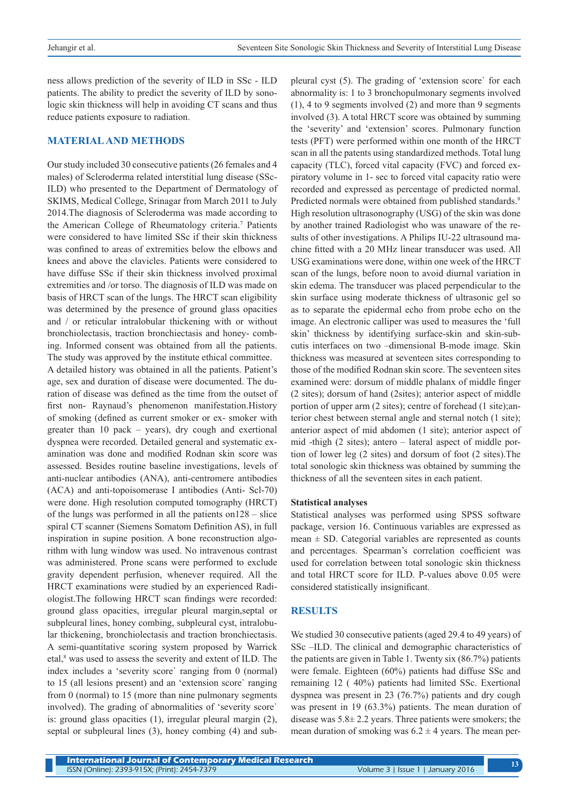ness allows prediction of the severity of ILD in SSc - ILD patients. The ability to predict the severity of ILD by sonologic skin thickness will help in avoiding CT scans and thus reduce patients exposure to radiation.

## **MATERIAL AND METHODS**

Our study included 30 consecutive patients (26 females and 4 males) of Scleroderma related interstitial lung disease (SSc-ILD) who presented to the Department of Dermatology of SKIMS, Medical College, Srinagar from March 2011 to July 2014.The diagnosis of Scleroderma was made according to the American College of Rheumatology criteria.7 Patients were considered to have limited SSc if their skin thickness was confined to areas of extremities below the elbows and knees and above the clavicles. Patients were considered to have diffuse SSc if their skin thickness involved proximal extremities and /or torso. The diagnosis of ILD was made on basis of HRCT scan of the lungs. The HRCT scan eligibility was determined by the presence of ground glass opacities and / or reticular intralobular thickening with or without bronchiolectasis, traction bronchiectasis and honey- combing. Informed consent was obtained from all the patients. The study was approved by the institute ethical committee.

A detailed history was obtained in all the patients. Patient's age, sex and duration of disease were documented. The duration of disease was defined as the time from the outset of first non- Raynaud's phenomenon manifestation.History of smoking (defined as current smoker or ex- smoker with greater than 10 pack – years), dry cough and exertional dyspnea were recorded. Detailed general and systematic examination was done and modified Rodnan skin score was assessed. Besides routine baseline investigations, levels of anti-nuclear antibodies (ANA), anti-centromere antibodies (ACA) and anti-topoisomerase I antibodies (Anti- Scl-70) were done. High resolution computed tomography (HRCT) of the lungs was performed in all the patients on128 – slice spiral CT scanner (Siemens Somatom Definition AS), in full inspiration in supine position. A bone reconstruction algorithm with lung window was used. No intravenous contrast was administered. Prone scans were performed to exclude gravity dependent perfusion, whenever required. All the HRCT examinations were studied by an experienced Radiologist.The following HRCT scan findings were recorded: ground glass opacities, irregular pleural margin,septal or subpleural lines, honey combing, subpleural cyst, intralobular thickening, bronchiolectasis and traction bronchiectasis. A semi-quantitative scoring system proposed by Warrick etal,<sup>8</sup> was used to assess the severity and extent of ILD. The index includes a 'severity score` ranging from 0 (normal) to 15 (all lesions present) and an 'extension score` ranging from 0 (normal) to 15 (more than nine pulmonary segments involved). The grading of abnormalities of 'severity score` is: ground glass opacities (1), irregular pleural margin (2), septal or subpleural lines (3), honey combing (4) and subpleural cyst (5). The grading of 'extension score` for each abnormality is: 1 to 3 bronchopulmonary segments involved (1), 4 to 9 segments involved (2) and more than 9 segments involved (3). A total HRCT score was obtained by summing the 'severity' and 'extension' scores. Pulmonary function tests (PFT) were performed within one month of the HRCT scan in all the patents using standardized methods. Total lung capacity (TLC), forced vital capacity (FVC) and forced expiratory volume in 1- sec to forced vital capacity ratio were recorded and expressed as percentage of predicted normal. Predicted normals were obtained from published standards.<sup>9</sup> High resolution ultrasonography (USG) of the skin was done by another trained Radiologist who was unaware of the results of other investigations. A Philips IU-22 ultrasound machine fitted with a 20 MHz linear transducer was used. All USG examinations were done, within one week of the HRCT scan of the lungs, before noon to avoid diurnal variation in skin edema. The transducer was placed perpendicular to the skin surface using moderate thickness of ultrasonic gel so as to separate the epidermal echo from probe echo on the image. An electronic calliper was used to measures the 'full skin' thickness by identifying surface-skin and skin-subcutis interfaces on two –dimensional B-mode image. Skin thickness was measured at seventeen sites corresponding to those of the modified Rodnan skin score. The seventeen sites examined were: dorsum of middle phalanx of middle finger (2 sites); dorsum of hand (2sites); anterior aspect of middle portion of upper arm (2 sites); centre of forehead (1 site);anterior chest between sternal angle and sternal notch (1 site); anterior aspect of mid abdomen (1 site); anterior aspect of mid -thigh (2 sites); antero – lateral aspect of middle portion of lower leg (2 sites) and dorsum of foot (2 sites).The total sonologic skin thickness was obtained by summing the thickness of all the seventeen sites in each patient.

#### **Statistical analyses**

Statistical analyses was performed using SPSS software package, version 16. Continuous variables are expressed as mean  $\pm$  SD. Categorial variables are represented as counts and percentages. Spearman's correlation coefficient was used for correlation between total sonologic skin thickness and total HRCT score for ILD. P-values above 0.05 were considered statistically insignificant.

## **RESULTS**

We studied 30 consecutive patients (aged 29.4 to 49 years) of SSc –ILD. The clinical and demographic characteristics of the patients are given in Table 1. Twenty six (86.7%) patients were female. Eighteen (60%) patients had diffuse SSc and remaining 12 ( 40%) patients had limited SSc. Exertional dyspnea was present in 23 (76.7%) patients and dry cough was present in 19 (63.3%) patients. The mean duration of disease was  $5.8\pm 2.2$  years. Three patients were smokers; the mean duration of smoking was  $6.2 \pm 4$  years. The mean per-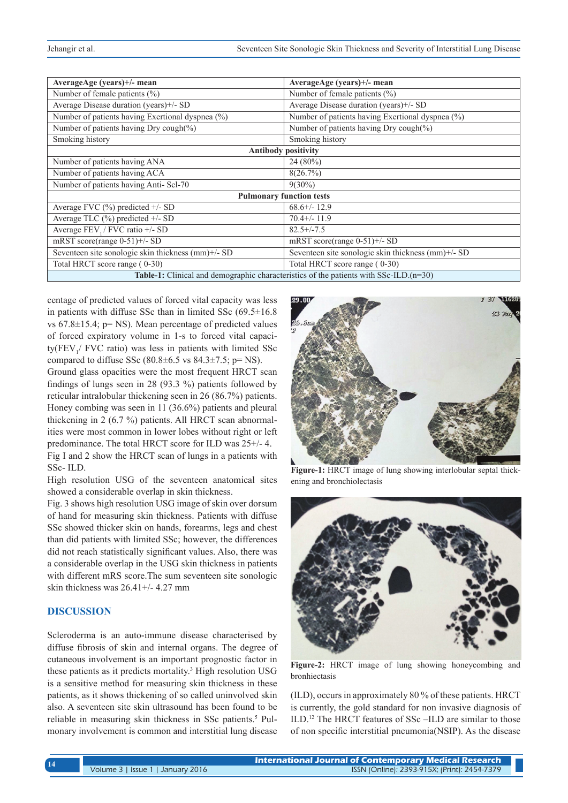| AverageAge (years)+/- mean                                                            | AverageAge (years)+/- mean                         |
|---------------------------------------------------------------------------------------|----------------------------------------------------|
| Number of female patients $(\% )$                                                     | Number of female patients $(\% )$                  |
| Average Disease duration (years)+/- SD                                                | Average Disease duration (years)+/- SD             |
| Number of patients having Exertional dyspnea (%)                                      | Number of patients having Exertional dyspnea (%)   |
| Number of patients having Dry cough(%)                                                | Number of patients having Dry cough(%)             |
| Smoking history                                                                       | Smoking history                                    |
| <b>Antibody positivity</b>                                                            |                                                    |
| Number of patients having ANA                                                         | $24(80\%)$                                         |
| Number of patients having ACA                                                         | 8(26.7%)                                           |
| Number of patients having Anti-Scl-70                                                 | $9(30\%)$                                          |
| <b>Pulmonary function tests</b>                                                       |                                                    |
| Average FVC $(\% )$ predicted $+/-$ SD                                                | $68.6^{+/-}$ 12.9                                  |
| Average TLC $(\% )$ predicted $+/-$ SD                                                | $70.4+/11.9$                                       |
| Average FEV, / FVC ratio +/- SD                                                       | $82.5 + (-7.5)$                                    |
| mRST score(range 0-51)+/- SD                                                          | mRST score(range $0-51$ )+/- SD                    |
| Seventeen site sonologic skin thickness (mm)+/- SD                                    | Seventeen site sonologic skin thickness (mm)+/- SD |
| Total HRCT score range (0-30)                                                         | Total HRCT score range (0-30)                      |
| Table-1: Clinical and demographic characteristics of the patients with SSc-ILD.(n=30) |                                                    |

centage of predicted values of forced vital capacity was less in patients with diffuse SSc than in limited SSc (69.5±16.8 vs  $67.8 \pm 15.4$ ; p= NS). Mean percentage of predicted values of forced expiratory volume in 1-s to forced vital capaci- $\text{ty(FEV}_1$ / FVC ratio) was less in patients with limited SSc compared to diffuse SSc  $(80.8\pm6.5 \text{ vs } 84.3\pm7.5; \text{p} = \text{NS})$ .

Ground glass opacities were the most frequent HRCT scan findings of lungs seen in 28 (93.3 %) patients followed by reticular intralobular thickening seen in 26 (86.7%) patients. Honey combing was seen in 11 (36.6%) patients and pleural thickening in 2 (6.7 %) patients. All HRCT scan abnormalities were most common in lower lobes without right or left predominance. The total HRCT score for ILD was 25+/- 4.

Fig I and 2 show the HRCT scan of lungs in a patients with SSc- ILD.

High resolution USG of the seventeen anatomical sites showed a considerable overlap in skin thickness.

Fig. 3 shows high resolution USG image of skin over dorsum of hand for measuring skin thickness. Patients with diffuse SSc showed thicker skin on hands, forearms, legs and chest than did patients with limited SSc; however, the differences did not reach statistically significant values. Also, there was a considerable overlap in the USG skin thickness in patients with different mRS score.The sum seventeen site sonologic skin thickness was 26.41+/- 4.27 mm

# **DISCUSSION**

Scleroderma is an auto-immune disease characterised by diffuse fibrosis of skin and internal organs. The degree of cutaneous involvement is an important prognostic factor in these patients as it predicts mortality.3 High resolution USG is a sensitive method for measuring skin thickness in these patients, as it shows thickening of so called uninvolved skin also. A seventeen site skin ultrasound has been found to be reliable in measuring skin thickness in SSc patients.<sup>5</sup> Pulmonary involvement is common and interstitial lung disease



**Figure-1:** HRCT image of lung showing interlobular septal thickening and bronchiolectasis



**Figure-2:** HRCT image of lung showing honeycombing and bronhiectasis

(ILD), occurs in approximately 80 % of these patients. HRCT is currently, the gold standard for non invasive diagnosis of ILD.12 The HRCT features of SSc –ILD are similar to those of non specific interstitial pneumonia(NSIP). As the disease